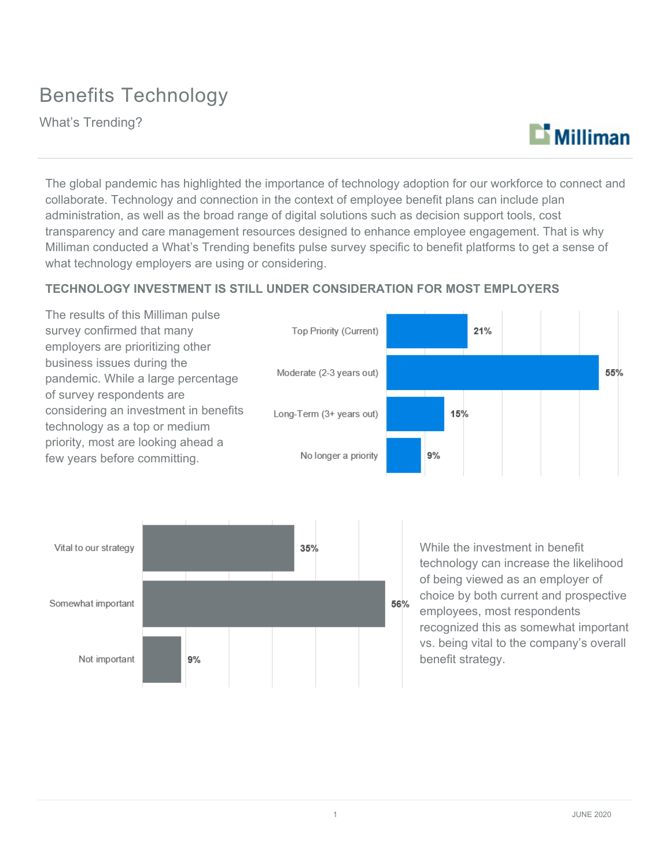## Benefits Technology

What's Trending?



The global pandemic has highlighted the importance of technology adoption for our workforce to connect and collaborate. Technology and connection in the context of employee benefit plans can include plan administration, as well as the broad range of digital solutions such as decision support tools, cost transparency and care management resources designed to enhance employee engagement. That is why Milliman conducted a What's Trending benefits pulse survey specific to benefit platforms to get a sense of what technology employers are using or considering.

### **TECHNOLOGY INVESTMENT IS STILL UNDER CONSIDERATION FOR MOST EMPLOYERS**





While the investment in benefit technology can increase the likelihood of being viewed as an employer of choice by both current and prospective employees, most respondents recognized this as somewhat important vs. being vital to the company's overall benefit strategy.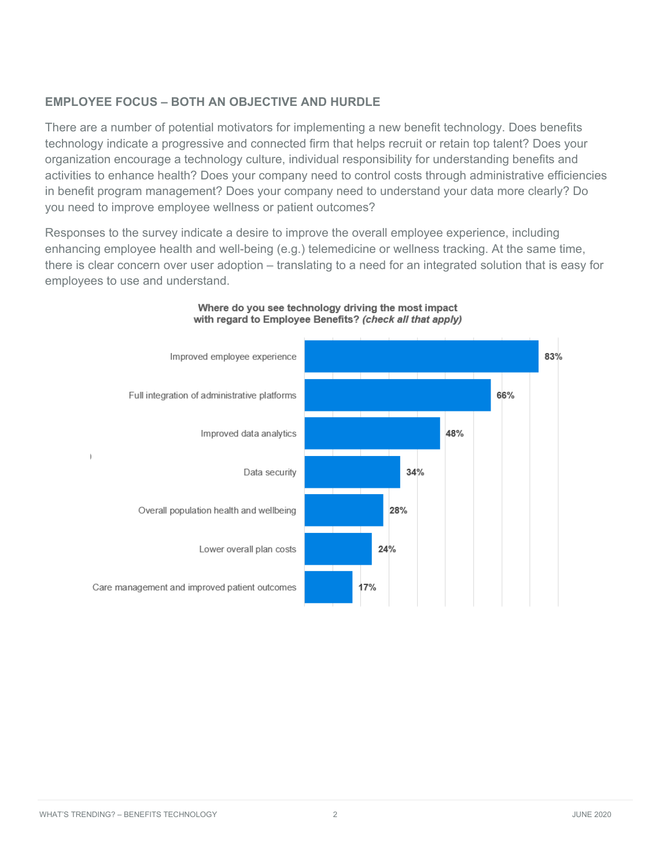### **EMPLOYEE FOCUS – BOTH AN OBJECTIVE AND HURDLE**

There are a number of potential motivators for implementing a new benefit technology. Does benefits technology indicate a progressive and connected firm that helps recruit or retain top talent? Does your organization encourage a technology culture, individual responsibility for understanding benefits and activities to enhance health? Does your company need to control costs through administrative efficiencies in benefit program management? Does your company need to understand your data more clearly? Do you need to improve employee wellness or patient outcomes?

Responses to the survey indicate a desire to improve the overall employee experience, including enhancing employee health and well-being (e.g.) telemedicine or wellness tracking. At the same time, there is clear concern over user adoption – translating to a need for an integrated solution that is easy for employees to use and understand.



#### Where do you see technology driving the most impact with regard to Employee Benefits? (check all that apply)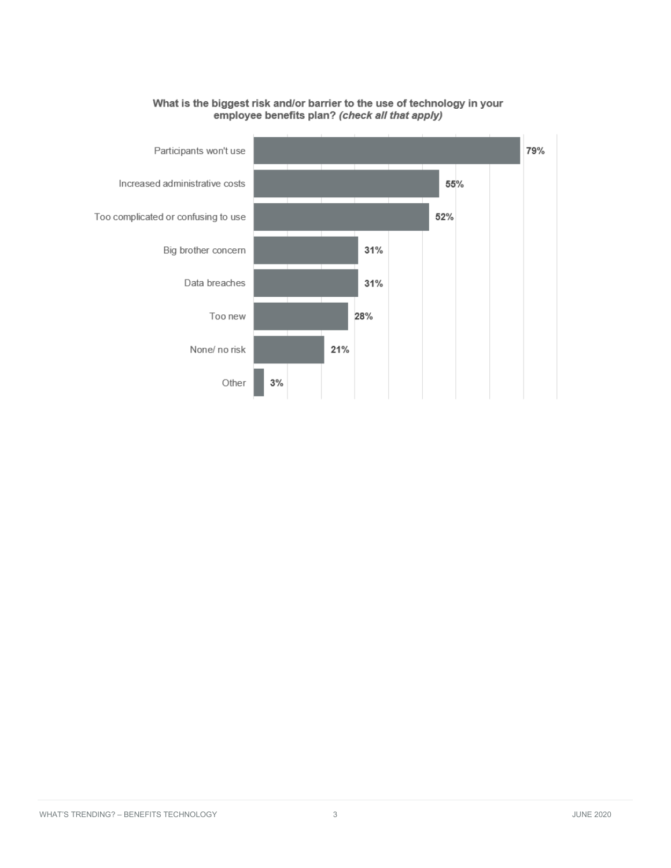

## What is the biggest risk and/or barrier to the use of technology in your<br>employee benefits plan? (check all that apply)